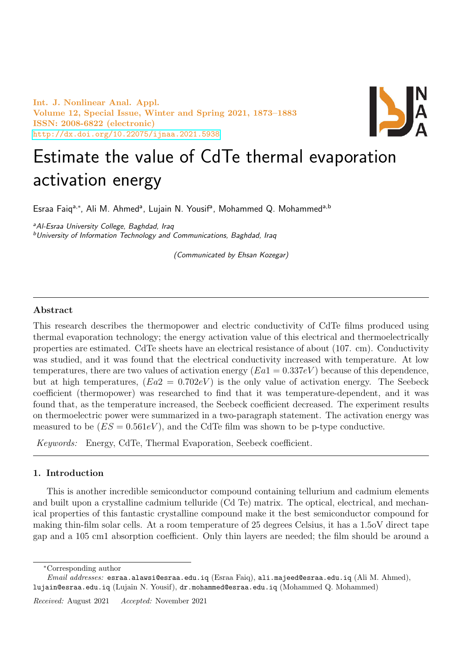Int. J. Nonlinear Anal. Appl. Volume 12, Special Issue, Winter and Spring 2021, 1873–1883 ISSN: 2008-6822 (electronic) <http://dx.doi.org/10.22075/ijnaa.2021.5938>



# Estimate the value of CdTe thermal evaporation activation energy

Esraa Faiq<sup>a,\*</sup>, Ali M. Ahmed<sup>a</sup>, Lujain N. Yousif<sup>a</sup>, Mohammed Q. Mohammed<sup>a,b</sup>

a Al-Esraa University College, Baghdad, Iraq <sup>b</sup>University of Information Technology and Communications, Baghdad, Iraq

(Communicated by Ehsan Kozegar)

## Abstract

This research describes the thermopower and electric conductivity of CdTe films produced using thermal evaporation technology; the energy activation value of this electrical and thermoelectrically properties are estimated. CdTe sheets have an electrical resistance of about (107. cm). Conductivity was studied, and it was found that the electrical conductivity increased with temperature. At low temperatures, there are two values of activation energy  $(Ea1 = 0.337eV)$  because of this dependence, but at high temperatures,  $(Ea2 = 0.702eV)$  is the only value of activation energy. The Seebeck coefficient (thermopower) was researched to find that it was temperature-dependent, and it was found that, as the temperature increased, the Seebeck coefficient decreased. The experiment results on thermoelectric power were summarized in a two-paragraph statement. The activation energy was measured to be  $(ES = 0.561eV)$ , and the CdTe film was shown to be p-type conductive.

Keywords: Energy, CdTe, Thermal Evaporation, Seebeck coefficient.

# 1. Introduction

This is another incredible semiconductor compound containing tellurium and cadmium elements and built upon a crystalline cadmium telluride (Cd Te) matrix. The optical, electrical, and mechanical properties of this fantastic crystalline compound make it the best semiconductor compound for making thin-film solar cells. At a room temperature of 25 degrees Celsius, it has a 1.5oV direct tape gap and a 105 cm1 absorption coefficient. Only thin layers are needed; the film should be around a

<sup>∗</sup>Corresponding author

Email addresses: esraa.alawsi@esraa.edu.iq (Esraa Faiq), ali.majeed@esraa.edu.iq (Ali M. Ahmed), lujain@esraa.edu.iq (Lujain N. Yousif), dr.mohammed@esraa.edu.iq (Mohammed Q. Mohammed)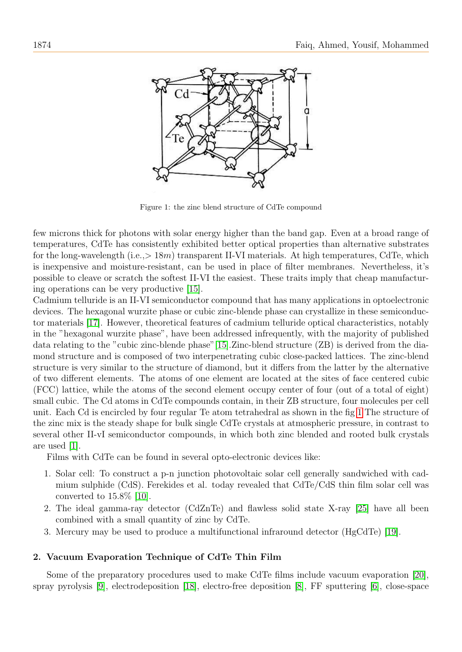

<span id="page-1-0"></span>Figure 1: the zinc blend structure of CdTe compound

few microns thick for photons with solar energy higher than the band gap. Even at a broad range of temperatures, CdTe has consistently exhibited better optical properties than alternative substrates for the long-wavelength (i.e.,  $> 18m$ ) transparent II-VI materials. At high temperatures, CdTe, which is inexpensive and moisture-resistant, can be used in place of filter membranes. Nevertheless, it's possible to cleave or scratch the softest II-VI the easiest. These traits imply that cheap manufacturing operations can be very productive [\[15\]](#page-9-0).

Cadmium telluride is an II-VI semiconductor compound that has many applications in optoelectronic devices. The hexagonal wurzite phase or cubic zinc-blende phase can crystallize in these semiconductor materials [\[17\]](#page-9-1). However, theoretical features of cadmium telluride optical characteristics, notably in the "hexagonal wurzite phase", have been addressed infrequently, with the majority of published data relating to the "cubic zinc-blende phase"[\[15\]](#page-9-0).Zinc-blend structure (ZB) is derived from the diamond structure and is composed of two interpenetrating cubic close-packed lattices. The zinc-blend structure is very similar to the structure of diamond, but it differs from the latter by the alternative of two different elements. The atoms of one element are located at the sites of face centered cubic (FCC) lattice, while the atoms of the second element occupy center of four (out of a total of eight) small cubic. The Cd atoms in CdTe compounds contain, in their ZB structure, four molecules per cell unit. Each Cd is encircled by four regular Te atom tetrahedral as shown in the fig [1](#page-1-0) The structure of the zinc mix is the steady shape for bulk single CdTe crystals at atmospheric pressure, in contrast to several other II-vI semiconductor compounds, in which both zinc blended and rooted bulk crystals are used [\[1\]](#page-9-2).

Films with CdTe can be found in several opto-electronic devices like:

- 1. Solar cell: To construct a p-n junction photovoltaic solar cell generally sandwiched with cadmium sulphide (CdS). Ferekides et al. today revealed that CdTe/CdS thin film solar cell was converted to  $15.8\%$  [\[10\]](#page-9-3).
- 2. The ideal gamma-ray detector (CdZnTe) and flawless solid state X-ray [\[25\]](#page-10-0) have all been combined with a small quantity of zinc by CdTe.
- 3. Mercury may be used to produce a multifunctional infraround detector (HgCdTe) [\[19\]](#page-10-1).

#### 2. Vacuum Evaporation Technique of CdTe Thin Film

Some of the preparatory procedures used to make CdTe films include vacuum evaporation [\[20\]](#page-10-2), spray pyrolysis [\[9\]](#page-9-4), electrodeposition [\[18\]](#page-10-3), electro-free deposition [\[8\]](#page-9-5), FF sputtering [\[6\]](#page-9-6), close-space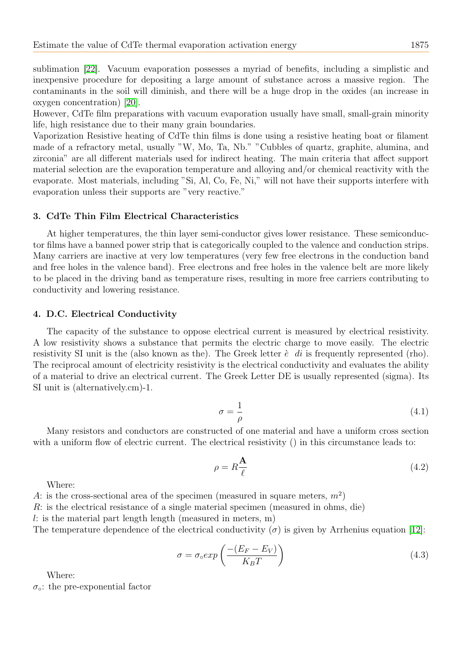sublimation [\[22\]](#page-10-4). Vacuum evaporation possesses a myriad of benefits, including a simplistic and inexpensive procedure for depositing a large amount of substance across a massive region. The contaminants in the soil will diminish, and there will be a huge drop in the oxides (an increase in oxygen concentration) [\[20\]](#page-10-2).

However, CdTe film preparations with vacuum evaporation usually have small, small-grain minority life, high resistance due to their many grain boundaries.

Vaporization Resistive heating of CdTe thin films is done using a resistive heating boat or filament made of a refractory metal, usually "W, Mo, Ta, Nb." "Cubbles of quartz, graphite, alumina, and zirconia" are all different materials used for indirect heating. The main criteria that affect support material selection are the evaporation temperature and alloying and/or chemical reactivity with the evaporate. Most materials, including "Si, Al, Co, Fe, Ni," will not have their supports interfere with evaporation unless their supports are "very reactive."

## 3. CdTe Thin Film Electrical Characteristics

At higher temperatures, the thin layer semi-conductor gives lower resistance. These semiconductor films have a banned power strip that is categorically coupled to the valence and conduction strips. Many carriers are inactive at very low temperatures (very few free electrons in the conduction band and free holes in the valence band). Free electrons and free holes in the valence belt are more likely to be placed in the driving band as temperature rises, resulting in more free carriers contributing to conductivity and lowering resistance.

#### 4. D.C. Electrical Conductivity

The capacity of the substance to oppose electrical current is measured by electrical resistivity. A low resistivity shows a substance that permits the electric charge to move easily. The electric resistivity SI unit is the (also known as the). The Greek letter  $\dot{e}$  di is frequently represented (rho). The reciprocal amount of electricity resistivity is the electrical conductivity and evaluates the ability of a material to drive an electrical current. The Greek Letter DE is usually represented (sigma). Its SI unit is (alternatively.cm)-1.

$$
\sigma = \frac{1}{\rho} \tag{4.1}
$$

Many resistors and conductors are constructed of one material and have a uniform cross section with a uniform flow of electric current. The electrical resistivity () in this circumstance leads to:

$$
\rho = R \frac{\mathbf{A}}{\ell} \tag{4.2}
$$

Where:

A: is the cross-sectional area of the specimen (measured in square meters,  $m^2$ )

R: is the electrical resistance of a single material specimen (measured in ohms, die)

l: is the material part length length (measured in meters, m)

The temperature dependence of the electrical conductivity  $(\sigma)$  is given by Arrhenius equation [\[12\]](#page-9-7):

$$
\sigma = \sigma_0 exp\left(\frac{-(E_F - E_V)}{K_B T}\right) \tag{4.3}
$$

Where:

 $\sigma_{\circ}$ : the pre-exponential factor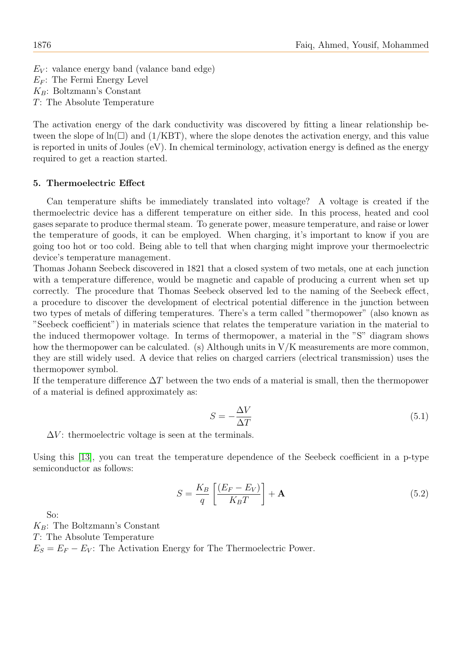$E_V$ : valance energy band (valance band edge)  $E_F$ : The Fermi Energy Level  $K_B$ : Boltzmann's Constant T: The Absolute Temperature

The activation energy of the dark conductivity was discovered by fitting a linear relationship between the slope of  $\ln(\square)$  and (1/KBT), where the slope denotes the activation energy, and this value is reported in units of Joules (eV). In chemical terminology, activation energy is defined as the energy required to get a reaction started.

## 5. Thermoelectric Effect

Can temperature shifts be immediately translated into voltage? A voltage is created if the thermoelectric device has a different temperature on either side. In this process, heated and cool gases separate to produce thermal steam. To generate power, measure temperature, and raise or lower the temperature of goods, it can be employed. When charging, it's important to know if you are going too hot or too cold. Being able to tell that when charging might improve your thermoelectric device's temperature management.

Thomas Johann Seebeck discovered in 1821 that a closed system of two metals, one at each junction with a temperature difference, would be magnetic and capable of producing a current when set up correctly. The procedure that Thomas Seebeck observed led to the naming of the Seebeck effect, a procedure to discover the development of electrical potential difference in the junction between two types of metals of differing temperatures. There's a term called "thermopower" (also known as "Seebeck coefficient") in materials science that relates the temperature variation in the material to the induced thermopower voltage. In terms of thermopower, a material in the "S" diagram shows how the thermopower can be calculated. (s) Although units in V/K measurements are more common, they are still widely used. A device that relies on charged carriers (electrical transmission) uses the thermopower symbol.

If the temperature difference  $\Delta T$  between the two ends of a material is small, then the thermopower of a material is defined approximately as:

$$
S = -\frac{\Delta V}{\Delta T} \tag{5.1}
$$

 $\Delta V$ : thermoelectric voltage is seen at the terminals.

Using this [\[13\]](#page-9-8), you can treat the temperature dependence of the Seebeck coefficient in a p-type semiconductor as follows:

$$
S = \frac{K_B}{q} \left[ \frac{(E_F - E_V)}{K_B T} \right] + \mathbf{A}
$$
\n(5.2)

So:

 $K_B$ : The Boltzmann's Constant T: The Absolute Temperature  $E_S = E_F - E_V$ : The Activation Energy for The Thermoelectric Power.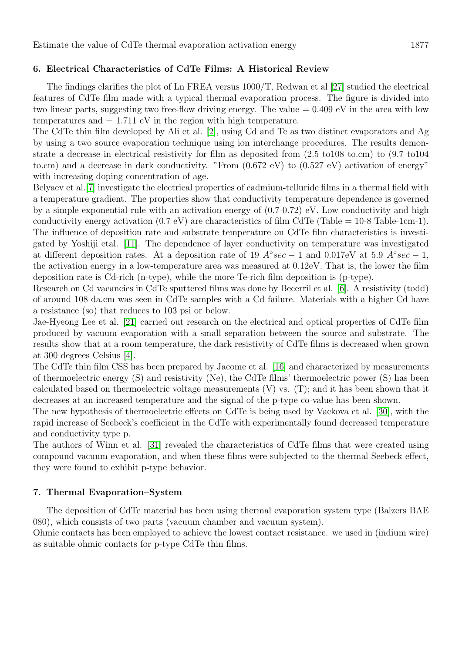# 6. Electrical Characteristics of CdTe Films: A Historical Review

The findings clarifies the plot of Ln FREA versus 1000/T, Redwan et al [\[27\]](#page-10-5) studied the electrical features of CdTe film made with a typical thermal evaporation process. The figure is divided into two linear parts, suggesting two free-flow driving energy. The value = 0.409 eV in the area with low temperatures and  $= 1.711$  eV in the region with high temperature.

The CdTe thin film developed by Ali et al. [\[2\]](#page-9-9), using Cd and Te as two distinct evaporators and Ag by using a two source evaporation technique using ion interchange procedures. The results demonstrate a decrease in electrical resistivity for film as deposited from (2.5 to108 to.cm) to (9.7 to104 to.cm) and a decrease in dark conductivity. "From (0.672 eV) to (0.527 eV) activation of energy" with increasing doping concentration of age.

Belyaev et al.[\[7\]](#page-9-10) investigate the electrical properties of cadmium-telluride films in a thermal field with a temperature gradient. The properties show that conductivity temperature dependence is governed by a simple exponential rule with an activation energy of  $(0.7-0.72)$  eV. Low conductivity and high conductivity energy activation  $(0.7 \text{ eV})$  are characteristics of film CdTe (Table = 10-8 Table-1cm-1). The influence of deposition rate and substrate temperature on CdTe film characteristics is investigated by Yoshiji etal. [\[11\]](#page-9-11). The dependence of layer conductivity on temperature was investigated at different deposition rates. At a deposition rate of 19  $A \textdegree sec - 1$  and 0.017eV at 5.9  $A \textdegree sec - 1$ , the activation energy in a low-temperature area was measured at 0.12eV. That is, the lower the film deposition rate is Cd-rich (n-type), while the more Te-rich film deposition is (p-type).

Research on Cd vacancies in CdTe sputtered films was done by Becerril et al. [\[6\]](#page-9-6). A resistivity (todd) of around 108 da.cm was seen in CdTe samples with a Cd failure. Materials with a higher Cd have a resistance (so) that reduces to 103 psi or below.

Jae-Hyeong Lee et al. [\[21\]](#page-10-6) carried out research on the electrical and optical properties of CdTe film produced by vacuum evaporation with a small separation between the source and substrate. The results show that at a room temperature, the dark resistivity of CdTe films is decreased when grown at 300 degrees Celsius [\[4\]](#page-9-12).

The CdTe thin film CSS has been prepared by Jacome et al. [\[16\]](#page-9-13) and characterized by measurements of thermoelectric energy (S) and resistivity (Ne), the CdTe films' thermoelectric power (S) has been calculated based on thermoelectric voltage measurements  $(V)$  vs.  $(T)$ ; and it has been shown that it decreases at an increased temperature and the signal of the p-type co-value has been shown.

The new hypothesis of thermoelectric effects on CdTe is being used by Vackova et al. [\[30\]](#page-10-7), with the rapid increase of Seebeck's coefficient in the CdTe with experimentally found decreased temperature and conductivity type p.

The authors of Winn et al. [\[31\]](#page-10-8) revealed the characteristics of CdTe films that were created using compound vacuum evaporation, and when these films were subjected to the thermal Seebeck effect, they were found to exhibit p-type behavior.

## 7. Thermal Evaporation–System

The deposition of CdTe material has been using thermal evaporation system type (Balzers BAE 080), which consists of two parts (vacuum chamber and vacuum system).

Ohmic contacts has been employed to achieve the lowest contact resistance. we used in (indium wire) as suitable ohmic contacts for p-type CdTe thin films.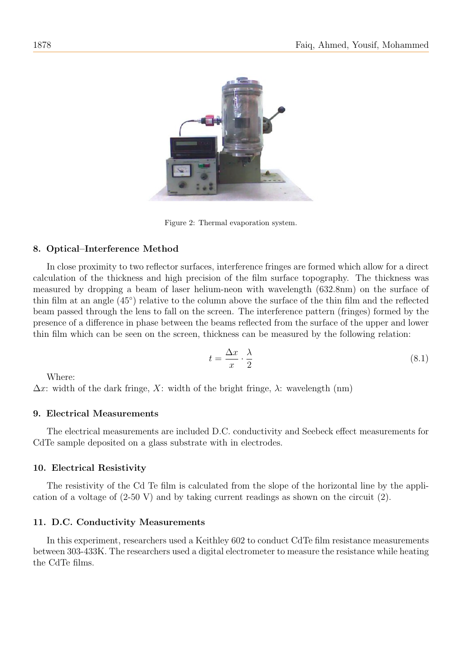

Figure 2: Thermal evaporation system.

## 8. Optical–Interference Method

In close proximity to two reflector surfaces, interference fringes are formed which allow for a direct calculation of the thickness and high precision of the film surface topography. The thickness was measured by dropping a beam of laser helium-neon with wavelength (632.8nm) on the surface of thin film at an angle (45◦ ) relative to the column above the surface of the thin film and the reflected beam passed through the lens to fall on the screen. The interference pattern (fringes) formed by the presence of a difference in phase between the beams reflected from the surface of the upper and lower thin film which can be seen on the screen, thickness can be measured by the following relation:

$$
t = \frac{\Delta x}{x} \cdot \frac{\lambda}{2} \tag{8.1}
$$

Where:

 $\Delta x$ : width of the dark fringe, X: width of the bright fringe,  $\lambda$ : wavelength (nm)

## 9. Electrical Measurements

The electrical measurements are included D.C. conductivity and Seebeck effect measurements for CdTe sample deposited on a glass substrate with in electrodes.

## 10. Electrical Resistivity

The resistivity of the Cd Te film is calculated from the slope of the horizontal line by the application of a voltage of (2-50 V) and by taking current readings as shown on the circuit (2).

## 11. D.C. Conductivity Measurements

In this experiment, researchers used a Keithley 602 to conduct CdTe film resistance measurements between 303-433K. The researchers used a digital electrometer to measure the resistance while heating the CdTe films.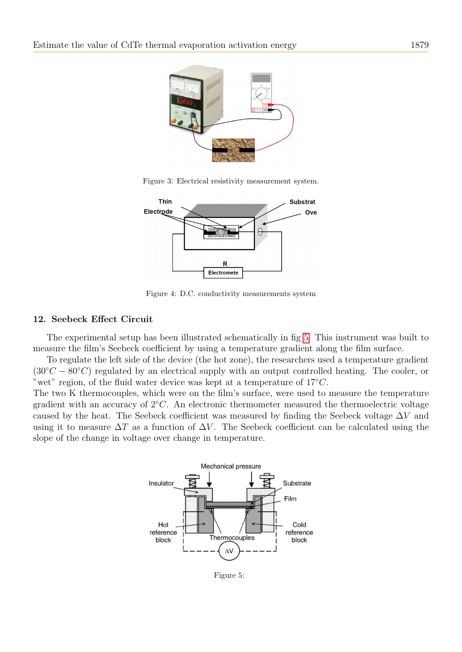

Figure 3: Electrical resistivity measurement system.



Figure 4: D.C. conductivity measurements system

## 12. Seebeck Effect Circuit

The experimental setup has been illustrated schematically in fig [5.](#page-6-0) This instrument was built to measure the film's Seebeck coefficient by using a temperature gradient along the film surface.

To regulate the left side of the device (the hot zone), the researchers used a temperature gradient  $(30°C - 80°C)$  regulated by an electrical supply with an output controlled heating. The cooler, or "wet" region, of the fluid water device was kept at a temperature of  $17^{\circ}C$ .

The two K thermocouples, which were on the film's surface, were used to measure the temperature gradient with an accuracy of  $2<sup>o</sup>C. An electronic thermometer measured the thermoelectric voltage$ caused by the heat. The Seebeck coefficient was measured by finding the Seebeck voltage  $\Delta V$  and using it to measure  $\Delta T$  as a function of  $\Delta V$ . The Seebeck coefficient can be calculated using the slope of the change in voltage over change in temperature.



<span id="page-6-0"></span>Figure 5: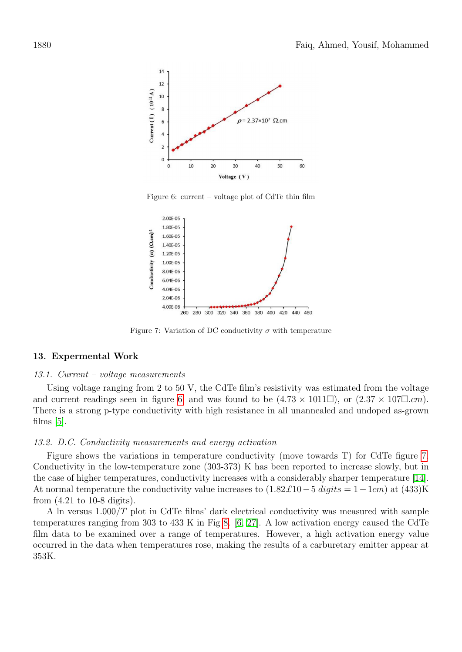

<span id="page-7-0"></span>Figure 6: current – voltage plot of CdTe thin film



<span id="page-7-1"></span>Figure 7: Variation of DC conductivity  $\sigma$  with temperature

#### 13. Expermental Work

#### 13.1. Current – voltage measurements

Using voltage ranging from 2 to 50 V, the CdTe film's resistivity was estimated from the voltage and current readings seen in figure [6,](#page-7-0) and was found to be  $(4.73 \times 1011\Box)$ , or  $(2.37 \times 107\Box cm)$ . There is a strong p-type conductivity with high resistance in all unannealed and undoped as-grown films  $[5]$ .

#### 13.2. D.C. Conductivity measurements and energy activation

Figure shows the variations in temperature conductivity (move towards T) for CdTe figure [7.](#page-7-1) Conductivity in the low-temperature zone (303-373) K has been reported to increase slowly, but in the case of higher temperatures, conductivity increases with a considerably sharper temperature [\[14\]](#page-9-15). At normal temperature the conductivity value increases to  $(1.82\pounds10 - 5 \text{ digits} = 1 - 1 \text{cm})$  at  $(433)$ K from (4.21 to 10-8 digits).

A ln versus 1.000/T plot in CdTe films' dark electrical conductivity was measured with sample temperatures ranging from 303 to 433 K in Fig [8.](#page-8-0) [\[6,](#page-9-6) [27\]](#page-10-5). A low activation energy caused the CdTe film data to be examined over a range of temperatures. However, a high activation energy value occurred in the data when temperatures rose, making the results of a carburetary emitter appear at 353K.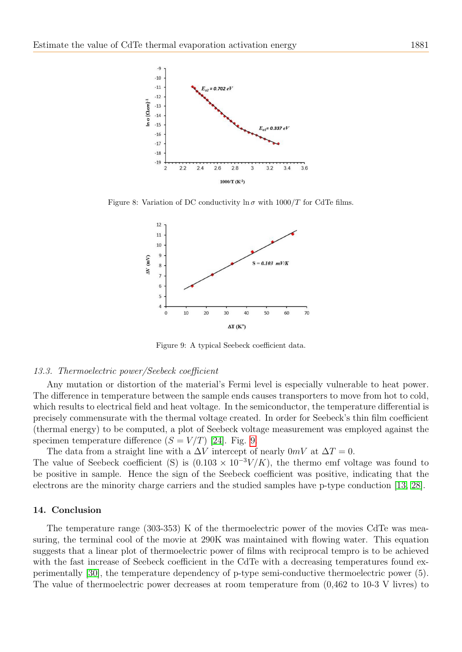

Figure 8: Variation of DC conductivity  $\ln \sigma$  with  $1000/T$  for CdTe films.

<span id="page-8-0"></span>

<span id="page-8-1"></span>Figure 9: A typical Seebeck coefficient data.

#### 13.3. Thermoelectric power/Seebeck coefficient

Any mutation or distortion of the material's Fermi level is especially vulnerable to heat power. The difference in temperature between the sample ends causes transporters to move from hot to cold, which results to electrical field and heat voltage. In the semiconductor, the temperature differential is precisely commensurate with the thermal voltage created. In order for Seebeck's thin film coefficient (thermal energy) to be computed, a plot of Seebeck voltage measurement was employed against the specimen temperature difference  $(S = V/T)$  [\[24\]](#page-10-9). Fig. [9.](#page-8-1)

The data from a straight line with a  $\Delta V$  intercept of nearly 0mV at  $\Delta T = 0$ . The value of Seebeck coefficient (S) is  $(0.103 \times 10^{-3} V/K)$ , the thermo emf voltage was found to be positive in sample. Hence the sign of the Seebeck coefficient was positive, indicating that the electrons are the minority charge carriers and the studied samples have p-type conduction [\[13,](#page-9-8) [28\]](#page-10-10).

#### 14. Conclusion

The temperature range (303-353) K of the thermoelectric power of the movies CdTe was measuring, the terminal cool of the movie at 290K was maintained with flowing water. This equation suggests that a linear plot of thermoelectric power of films with reciprocal tempro is to be achieved with the fast increase of Seebeck coefficient in the CdTe with a decreasing temperatures found experimentally [\[30\]](#page-10-7), the temperature dependency of p-type semi-conductive thermoelectric power (5). The value of thermoelectric power decreases at room temperature from (0,462 to 10-3 V livres) to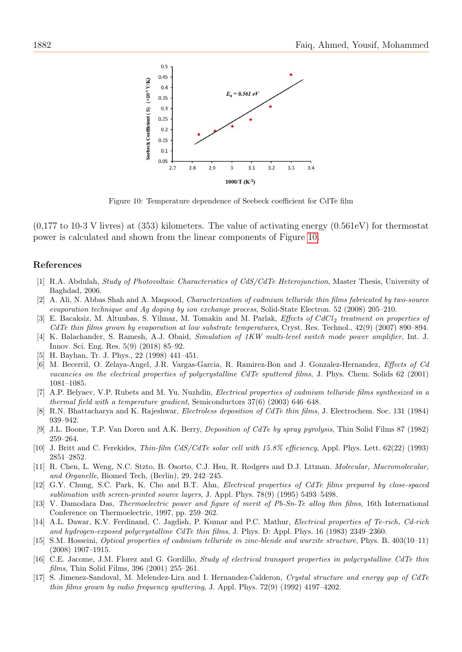

<span id="page-9-16"></span>Figure 10: Temperature dependence of Seebeck coefficient for CdTe film

 $(0.177 \text{ to } 10^{-3} \text{ V}$  livres) at (353) kilometers. The value of activating energy  $(0.561 \text{ eV})$  for thermostat power is calculated and shown from the linear components of Figure [10.](#page-9-16)

#### References

- <span id="page-9-2"></span>[1] R.A. Abdulah, Study of Photovoltaic Characteristics of CdS/CdTe Heterojunction, Master Thesis, University of Baghdad, 2006.
- <span id="page-9-9"></span>[2] A. Ali, N. Abbas Shah and A. Maqsood, Characterization of cadmium telluride thin films fabricated by two-source evaporation technique and Ag doping by ion exchange process, Solid-State Electron. 52 (2008) 205–210.
- [3] E. Bacaksiz, M. Altunbas, S. Yilmaz, M. Tomakin and M. Parlak, Effects of CdCl<sub>2</sub> treatment on properties of CdTe thin films grown by evaporation at low substrate temperatures, Cryst. Res. Technol., 42(9) (2007) 890–894.
- <span id="page-9-12"></span>[4] K. Balachander, S. Ramesh, A.J. Obaid, Simulation of 1KW multi-level switch mode power amplifier, Int. J. Innov. Sci. Eng. Res. 5(9) (2018) 85–92.
- <span id="page-9-14"></span>[5] H. Bayhan, Tr. J. Phys., 22 (1998) 441–451.
- <span id="page-9-6"></span>[6] M. Becerril, O. Zelaya-Angel, J.R. Vargas-Garcia, R. Ramirez-Bon and J. Gonzalez-Hernandez, Effects of Cd vacancies on the electrical properties of polycrystalline CdTe sputtered films, J. Phys. Chem. Solids 62 (2001) 1081–1085.
- <span id="page-9-10"></span>[7] A.P. Belyaev, V.P. Rubets and M. Yu. Nuzhdin, Electrical properties of cadmium telluride films synthesized in a thermal field with a temperature gradient, Semiconductors 37(6) (2003) 646–648.
- <span id="page-9-5"></span>[8] R.N. Bhattacharya and K. Rajeshwar, Electroless deposition of CdTe thin films, J. Electrochem. Soc. 131 (1984) 939–942.
- <span id="page-9-4"></span>[9] J.L. Boone, T.P. Van Doren and A.K. Berry, Deposition of CdTe by spray pyrolysis, Thin Solid Films 87 (1982) 259–264.
- <span id="page-9-3"></span>[10] J. Britt and C. Ferekides, Thin-film CdS/CdTe solar cell with 15.8% efficiency, Appl. Phys. Lett. 62(22) (1993) 2851–2852.
- <span id="page-9-11"></span>[11] R. Chen, L. Weng, N.C. Stzto, B. Osorto, C.J. Hsu, R. Rodgers and D.J. Lttman. Molecular, Macromolecular, and Organelle, Biomed Tech, (Berlin), 29, 242–245.
- <span id="page-9-7"></span>[12] G.Y. Chung, S.C. Park, K. Cho and B.T. Ahn, *Electrical properties of CdTe films prepared by close-spaced* sublimation with screen-printed source layers, J. Appl. Phys. 78(9) (1995) 5493–5498.
- <span id="page-9-8"></span>[13] V. Damodara Das, Thermoelectric power and figure of merit of Pb-Sn-Te alloy thin films, 16th International Conference on Thermoelectric, 1997, pp. 259–262.
- <span id="page-9-15"></span>[14] A.L. Dawar, K.V. Ferdinand, C. Jagdish, P. Kumar and P.C. Mathur, Electrical properties of Te-rich, Cd-rich and hydrogen-exposed polycrystalline CdTe thin films, J. Phys. D: Appl. Phys. 16 (1983) 2349–2360.
- <span id="page-9-0"></span>[15] S.M. Hosseini, Optical properties of cadmium telluride in zinc-blende and wurzite structure, Phys. B. 403(10–11) (2008) 1907–1915.
- <span id="page-9-13"></span>[16] C.E. Jacome, J.M. Florez and G. Gordillo, Study of electrical transport properties in polycrystalline CdTe thin films, Thin Solid Films, 396 (2001) 255–261.
- <span id="page-9-1"></span>[17] S. Jimenez-Sandoval, M. Melendez-Lira and I. Hernandez-Calderon, Crystal structure and energy gap of CdTe thin films grown by radio frequency sputtering, J. Appl. Phys. 72(9) (1992) 4197–4202.